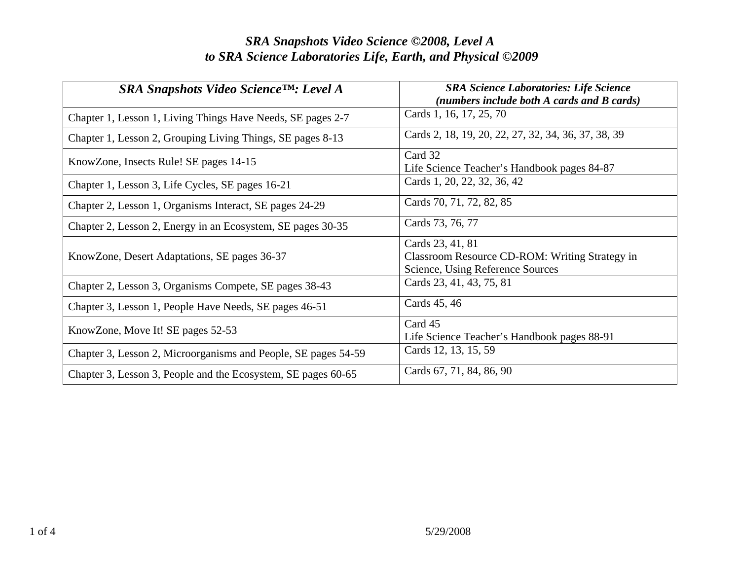| $SRA$ Snapshots Video Science <sup>TM</sup> : Level A          | <b>SRA Science Laboratories: Life Science</b><br>(numbers include both A cards and B cards)            |
|----------------------------------------------------------------|--------------------------------------------------------------------------------------------------------|
| Chapter 1, Lesson 1, Living Things Have Needs, SE pages 2-7    | Cards 1, 16, 17, 25, 70                                                                                |
| Chapter 1, Lesson 2, Grouping Living Things, SE pages 8-13     | Cards 2, 18, 19, 20, 22, 27, 32, 34, 36, 37, 38, 39                                                    |
| KnowZone, Insects Rule! SE pages 14-15                         | Card 32<br>Life Science Teacher's Handbook pages 84-87                                                 |
| Chapter 1, Lesson 3, Life Cycles, SE pages 16-21               | Cards 1, 20, 22, 32, 36, 42                                                                            |
| Chapter 2, Lesson 1, Organisms Interact, SE pages 24-29        | Cards 70, 71, 72, 82, 85                                                                               |
| Chapter 2, Lesson 2, Energy in an Ecosystem, SE pages 30-35    | Cards 73, 76, 77                                                                                       |
| KnowZone, Desert Adaptations, SE pages 36-37                   | Cards 23, 41, 81<br>Classroom Resource CD-ROM: Writing Strategy in<br>Science, Using Reference Sources |
| Chapter 2, Lesson 3, Organisms Compete, SE pages 38-43         | Cards 23, 41, 43, 75, 81                                                                               |
| Chapter 3, Lesson 1, People Have Needs, SE pages 46-51         | Cards 45, 46                                                                                           |
| KnowZone, Move It! SE pages 52-53                              | Card 45<br>Life Science Teacher's Handbook pages 88-91                                                 |
| Chapter 3, Lesson 2, Microorganisms and People, SE pages 54-59 | Cards 12, 13, 15, 59                                                                                   |
| Chapter 3, Lesson 3, People and the Ecosystem, SE pages 60-65  | Cards 67, 71, 84, 86, 90                                                                               |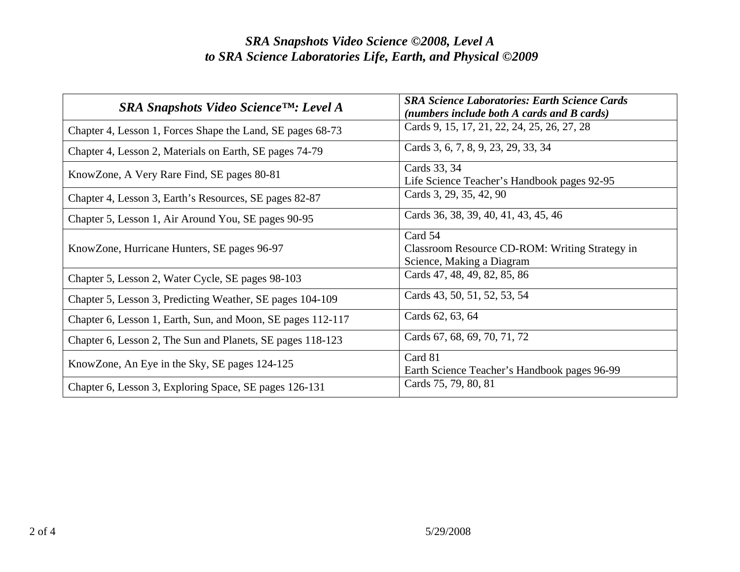| SRA Snapshots Video Science™: Level A                       | <b>SRA Science Laboratories: Earth Science Cards</b><br>(numbers include both A cards and B cards) |
|-------------------------------------------------------------|----------------------------------------------------------------------------------------------------|
| Chapter 4, Lesson 1, Forces Shape the Land, SE pages 68-73  | Cards 9, 15, 17, 21, 22, 24, 25, 26, 27, 28                                                        |
| Chapter 4, Lesson 2, Materials on Earth, SE pages 74-79     | Cards 3, 6, 7, 8, 9, 23, 29, 33, 34                                                                |
| KnowZone, A Very Rare Find, SE pages 80-81                  | Cards 33, 34<br>Life Science Teacher's Handbook pages 92-95                                        |
| Chapter 4, Lesson 3, Earth's Resources, SE pages 82-87      | Cards 3, 29, 35, 42, 90                                                                            |
| Chapter 5, Lesson 1, Air Around You, SE pages 90-95         | Cards 36, 38, 39, 40, 41, 43, 45, 46                                                               |
| KnowZone, Hurricane Hunters, SE pages 96-97                 | Card 54<br>Classroom Resource CD-ROM: Writing Strategy in<br>Science, Making a Diagram             |
| Chapter 5, Lesson 2, Water Cycle, SE pages 98-103           | Cards 47, 48, 49, 82, 85, 86                                                                       |
| Chapter 5, Lesson 3, Predicting Weather, SE pages 104-109   | Cards 43, 50, 51, 52, 53, 54                                                                       |
| Chapter 6, Lesson 1, Earth, Sun, and Moon, SE pages 112-117 | Cards 62, 63, 64                                                                                   |
| Chapter 6, Lesson 2, The Sun and Planets, SE pages 118-123  | Cards 67, 68, 69, 70, 71, 72                                                                       |
| KnowZone, An Eye in the Sky, SE pages 124-125               | Card 81<br>Earth Science Teacher's Handbook pages 96-99                                            |
| Chapter 6, Lesson 3, Exploring Space, SE pages 126-131      | Cards 75, 79, 80, 81                                                                               |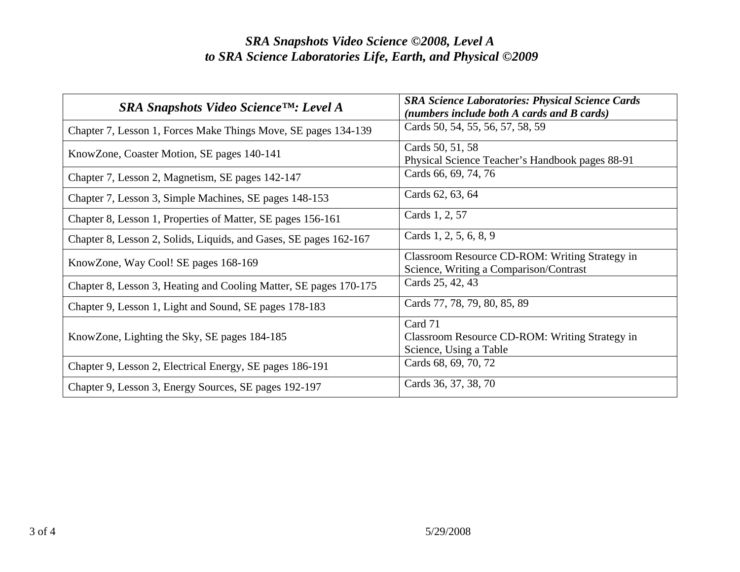| $SRA$ Snapshots Video Science <sup>TM</sup> : Level A             | <b>SRA Science Laboratories: Physical Science Cards</b><br>(numbers include both A cards and B cards) |
|-------------------------------------------------------------------|-------------------------------------------------------------------------------------------------------|
| Chapter 7, Lesson 1, Forces Make Things Move, SE pages 134-139    | Cards 50, 54, 55, 56, 57, 58, 59                                                                      |
| KnowZone, Coaster Motion, SE pages 140-141                        | Cards 50, 51, 58<br>Physical Science Teacher's Handbook pages 88-91                                   |
| Chapter 7, Lesson 2, Magnetism, SE pages 142-147                  | Cards 66, 69, 74, 76                                                                                  |
| Chapter 7, Lesson 3, Simple Machines, SE pages 148-153            | Cards 62, 63, 64                                                                                      |
| Chapter 8, Lesson 1, Properties of Matter, SE pages 156-161       | Cards 1, 2, 57                                                                                        |
| Chapter 8, Lesson 2, Solids, Liquids, and Gases, SE pages 162-167 | Cards 1, 2, 5, 6, 8, 9                                                                                |
| KnowZone, Way Cool! SE pages 168-169                              | Classroom Resource CD-ROM: Writing Strategy in<br>Science, Writing a Comparison/Contrast              |
| Chapter 8, Lesson 3, Heating and Cooling Matter, SE pages 170-175 | Cards 25, 42, 43                                                                                      |
| Chapter 9, Lesson 1, Light and Sound, SE pages 178-183            | Cards 77, 78, 79, 80, 85, 89                                                                          |
| KnowZone, Lighting the Sky, SE pages 184-185                      | Card 71<br>Classroom Resource CD-ROM: Writing Strategy in<br>Science, Using a Table                   |
| Chapter 9, Lesson 2, Electrical Energy, SE pages 186-191          | Cards 68, 69, 70, 72                                                                                  |
| Chapter 9, Lesson 3, Energy Sources, SE pages 192-197             | Cards 36, 37, 38, 70                                                                                  |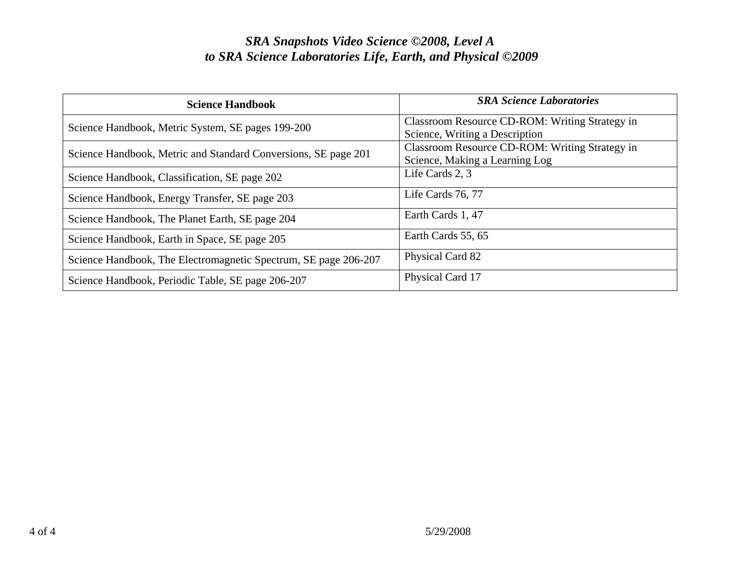| <b>Science Handbook</b>                                         | <b>SRA Science Laboratories</b>                                                  |
|-----------------------------------------------------------------|----------------------------------------------------------------------------------|
| Science Handbook, Metric System, SE pages 199-200               | Classroom Resource CD-ROM: Writing Strategy in<br>Science, Writing a Description |
| Science Handbook, Metric and Standard Conversions, SE page 201  | Classroom Resource CD-ROM: Writing Strategy in<br>Science, Making a Learning Log |
| Science Handbook, Classification, SE page 202                   | Life Cards 2, 3                                                                  |
| Science Handbook, Energy Transfer, SE page 203                  | Life Cards 76, 77                                                                |
| Science Handbook, The Planet Earth, SE page 204                 | Earth Cards 1, 47                                                                |
| Science Handbook, Earth in Space, SE page 205                   | Earth Cards 55, 65                                                               |
| Science Handbook, The Electromagnetic Spectrum, SE page 206-207 | Physical Card 82                                                                 |
| Science Handbook, Periodic Table, SE page 206-207               | Physical Card 17                                                                 |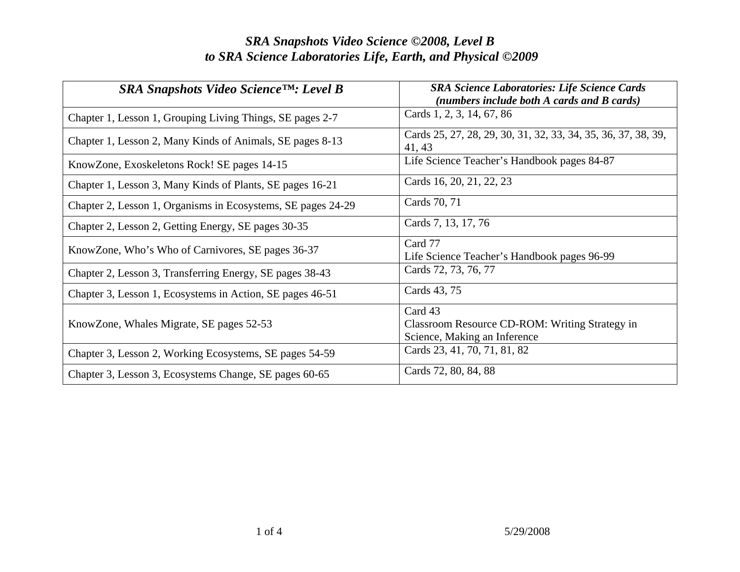| $SRA$ Snapshots Video Science <sup>TM</sup> : Level B        | <b>SRA Science Laboratories: Life Science Cards</b><br>(numbers include both A cards and B cards) |
|--------------------------------------------------------------|---------------------------------------------------------------------------------------------------|
| Chapter 1, Lesson 1, Grouping Living Things, SE pages 2-7    | Cards 1, 2, 3, 14, 67, 86                                                                         |
| Chapter 1, Lesson 2, Many Kinds of Animals, SE pages 8-13    | Cards 25, 27, 28, 29, 30, 31, 32, 33, 34, 35, 36, 37, 38, 39,<br>41, 43                           |
| KnowZone, Exoskeletons Rock! SE pages 14-15                  | Life Science Teacher's Handbook pages 84-87                                                       |
| Chapter 1, Lesson 3, Many Kinds of Plants, SE pages 16-21    | Cards 16, 20, 21, 22, 23                                                                          |
| Chapter 2, Lesson 1, Organisms in Ecosystems, SE pages 24-29 | Cards 70, 71                                                                                      |
| Chapter 2, Lesson 2, Getting Energy, SE pages 30-35          | Cards 7, 13, 17, 76                                                                               |
| KnowZone, Who's Who of Carnivores, SE pages 36-37            | Card 77<br>Life Science Teacher's Handbook pages 96-99                                            |
| Chapter 2, Lesson 3, Transferring Energy, SE pages 38-43     | Cards 72, 73, 76, 77                                                                              |
| Chapter 3, Lesson 1, Ecosystems in Action, SE pages 46-51    | Cards 43, 75                                                                                      |
| KnowZone, Whales Migrate, SE pages 52-53                     | Card 43<br>Classroom Resource CD-ROM: Writing Strategy in<br>Science, Making an Inference         |
| Chapter 3, Lesson 2, Working Ecosystems, SE pages 54-59      | Cards 23, 41, 70, 71, 81, 82                                                                      |
| Chapter 3, Lesson 3, Ecosystems Change, SE pages 60-65       | Cards 72, 80, 84, 88                                                                              |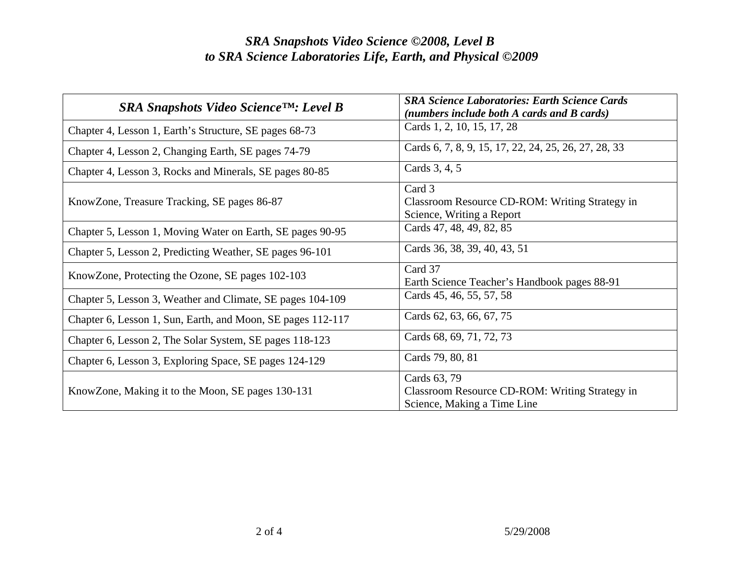| $SRA$ Snapshots Video Science <sup>TM</sup> : Level B       | <b>SRA Science Laboratories: Earth Science Cards</b><br>(numbers include both A cards and B cards) |
|-------------------------------------------------------------|----------------------------------------------------------------------------------------------------|
| Chapter 4, Lesson 1, Earth's Structure, SE pages 68-73      | Cards 1, 2, 10, 15, 17, 28                                                                         |
| Chapter 4, Lesson 2, Changing Earth, SE pages 74-79         | Cards 6, 7, 8, 9, 15, 17, 22, 24, 25, 26, 27, 28, 33                                               |
| Chapter 4, Lesson 3, Rocks and Minerals, SE pages 80-85     | Cards 3, 4, 5                                                                                      |
| KnowZone, Treasure Tracking, SE pages 86-87                 | Card 3<br>Classroom Resource CD-ROM: Writing Strategy in<br>Science, Writing a Report              |
| Chapter 5, Lesson 1, Moving Water on Earth, SE pages 90-95  | Cards 47, 48, 49, 82, 85                                                                           |
| Chapter 5, Lesson 2, Predicting Weather, SE pages 96-101    | Cards 36, 38, 39, 40, 43, 51                                                                       |
| KnowZone, Protecting the Ozone, SE pages 102-103            | Card 37<br>Earth Science Teacher's Handbook pages 88-91                                            |
| Chapter 5, Lesson 3, Weather and Climate, SE pages 104-109  | Cards 45, 46, 55, 57, 58                                                                           |
| Chapter 6, Lesson 1, Sun, Earth, and Moon, SE pages 112-117 | Cards 62, 63, 66, 67, 75                                                                           |
| Chapter 6, Lesson 2, The Solar System, SE pages 118-123     | Cards 68, 69, 71, 72, 73                                                                           |
| Chapter 6, Lesson 3, Exploring Space, SE pages 124-129      | Cards 79, 80, 81                                                                                   |
| KnowZone, Making it to the Moon, SE pages 130-131           | Cards 63, 79<br>Classroom Resource CD-ROM: Writing Strategy in<br>Science, Making a Time Line      |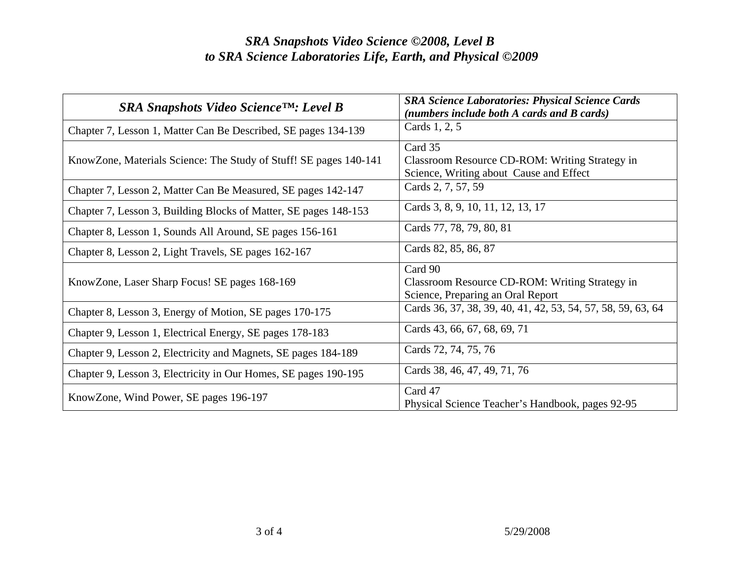| $SRA$ Snapshots Video Science <sup>TM</sup> : Level B             | <b>SRA Science Laboratories: Physical Science Cards</b><br>(numbers include both A cards and B cards) |
|-------------------------------------------------------------------|-------------------------------------------------------------------------------------------------------|
| Chapter 7, Lesson 1, Matter Can Be Described, SE pages 134-139    | Cards 1, 2, 5                                                                                         |
| KnowZone, Materials Science: The Study of Stuff! SE pages 140-141 | Card 35<br>Classroom Resource CD-ROM: Writing Strategy in<br>Science, Writing about Cause and Effect  |
| Chapter 7, Lesson 2, Matter Can Be Measured, SE pages 142-147     | Cards 2, 7, 57, 59                                                                                    |
| Chapter 7, Lesson 3, Building Blocks of Matter, SE pages 148-153  | Cards 3, 8, 9, 10, 11, 12, 13, 17                                                                     |
| Chapter 8, Lesson 1, Sounds All Around, SE pages 156-161          | Cards 77, 78, 79, 80, 81                                                                              |
| Chapter 8, Lesson 2, Light Travels, SE pages 162-167              | Cards 82, 85, 86, 87                                                                                  |
| KnowZone, Laser Sharp Focus! SE pages 168-169                     | Card 90<br>Classroom Resource CD-ROM: Writing Strategy in<br>Science, Preparing an Oral Report        |
| Chapter 8, Lesson 3, Energy of Motion, SE pages 170-175           | Cards 36, 37, 38, 39, 40, 41, 42, 53, 54, 57, 58, 59, 63, 64                                          |
| Chapter 9, Lesson 1, Electrical Energy, SE pages 178-183          | Cards 43, 66, 67, 68, 69, 71                                                                          |
| Chapter 9, Lesson 2, Electricity and Magnets, SE pages 184-189    | Cards 72, 74, 75, 76                                                                                  |
| Chapter 9, Lesson 3, Electricity in Our Homes, SE pages 190-195   | Cards 38, 46, 47, 49, 71, 76                                                                          |
| KnowZone, Wind Power, SE pages 196-197                            | Card 47<br>Physical Science Teacher's Handbook, pages 92-95                                           |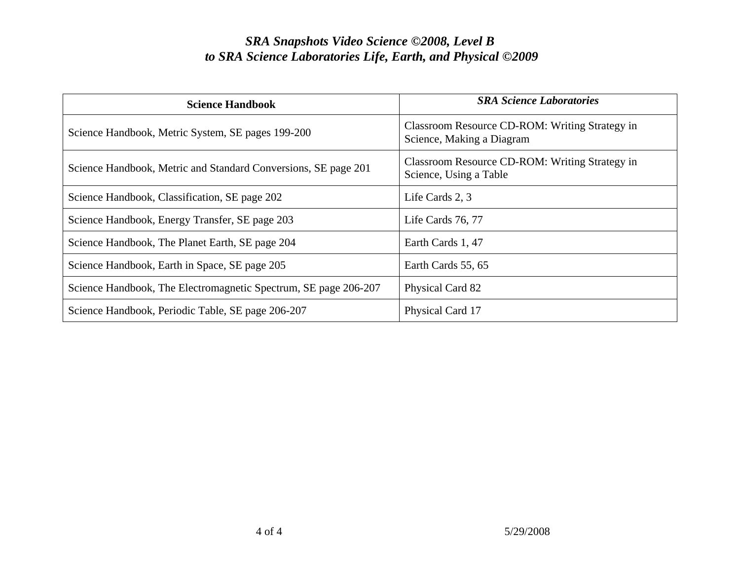| <b>Science Handbook</b>                                         | <b>SRA Science Laboratories</b>                                             |
|-----------------------------------------------------------------|-----------------------------------------------------------------------------|
| Science Handbook, Metric System, SE pages 199-200               | Classroom Resource CD-ROM: Writing Strategy in<br>Science, Making a Diagram |
| Science Handbook, Metric and Standard Conversions, SE page 201  | Classroom Resource CD-ROM: Writing Strategy in<br>Science, Using a Table    |
| Science Handbook, Classification, SE page 202                   | Life Cards 2, 3                                                             |
| Science Handbook, Energy Transfer, SE page 203                  | Life Cards 76, 77                                                           |
| Science Handbook, The Planet Earth, SE page 204                 | Earth Cards 1, 47                                                           |
| Science Handbook, Earth in Space, SE page 205                   | Earth Cards 55, 65                                                          |
| Science Handbook, The Electromagnetic Spectrum, SE page 206-207 | Physical Card 82                                                            |
| Science Handbook, Periodic Table, SE page 206-207               | Physical Card 17                                                            |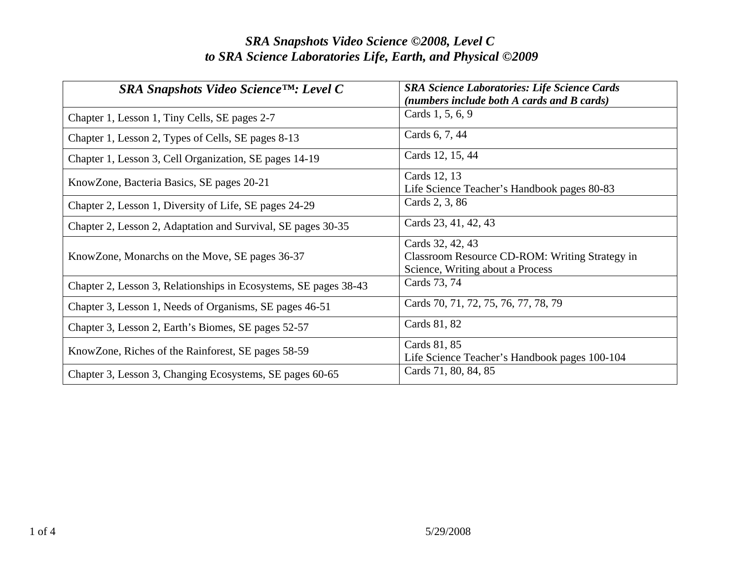| $SRA$ Snapshots Video Science <sup>TM</sup> : Level C            | <b>SRA Science Laboratories: Life Science Cards</b><br>(numbers include both A cards and B cards)      |
|------------------------------------------------------------------|--------------------------------------------------------------------------------------------------------|
| Chapter 1, Lesson 1, Tiny Cells, SE pages 2-7                    | Cards 1, 5, 6, 9                                                                                       |
| Chapter 1, Lesson 2, Types of Cells, SE pages 8-13               | Cards 6, 7, 44                                                                                         |
| Chapter 1, Lesson 3, Cell Organization, SE pages 14-19           | Cards 12, 15, 44                                                                                       |
| KnowZone, Bacteria Basics, SE pages 20-21                        | Cards 12, 13<br>Life Science Teacher's Handbook pages 80-83                                            |
| Chapter 2, Lesson 1, Diversity of Life, SE pages 24-29           | Cards 2, 3, 86                                                                                         |
| Chapter 2, Lesson 2, Adaptation and Survival, SE pages 30-35     | Cards 23, 41, 42, 43                                                                                   |
| KnowZone, Monarchs on the Move, SE pages 36-37                   | Cards 32, 42, 43<br>Classroom Resource CD-ROM: Writing Strategy in<br>Science, Writing about a Process |
| Chapter 2, Lesson 3, Relationships in Ecosystems, SE pages 38-43 | Cards 73, 74                                                                                           |
| Chapter 3, Lesson 1, Needs of Organisms, SE pages 46-51          | Cards 70, 71, 72, 75, 76, 77, 78, 79                                                                   |
| Chapter 3, Lesson 2, Earth's Biomes, SE pages 52-57              | Cards 81, 82                                                                                           |
| KnowZone, Riches of the Rainforest, SE pages 58-59               | Cards 81, 85<br>Life Science Teacher's Handbook pages 100-104                                          |
| Chapter 3, Lesson 3, Changing Ecosystems, SE pages 60-65         | Cards 71, 80, 84, 85                                                                                   |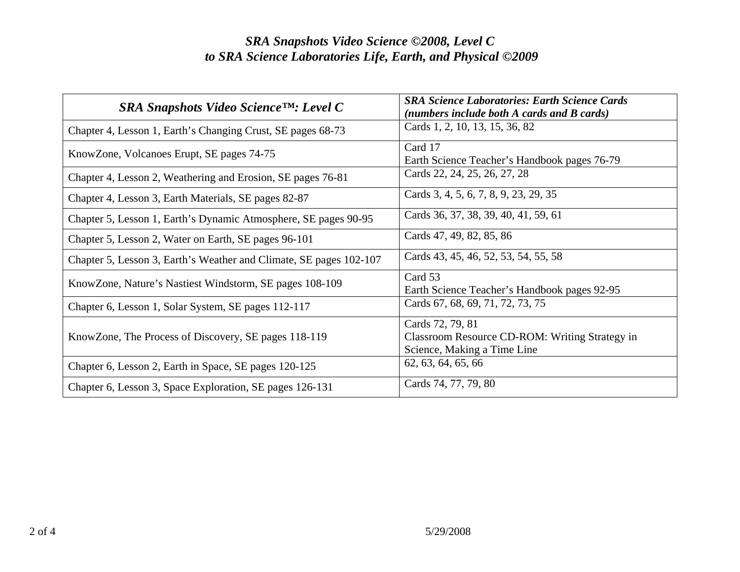| SRA Snapshots Video Science™: Level C                              | <b>SRA Science Laboratories: Earth Science Cards</b><br>(numbers include both A cards and B cards) |
|--------------------------------------------------------------------|----------------------------------------------------------------------------------------------------|
| Chapter 4, Lesson 1, Earth's Changing Crust, SE pages 68-73        | Cards 1, 2, 10, 13, 15, 36, 82                                                                     |
| KnowZone, Volcanoes Erupt, SE pages 74-75                          | Card 17<br>Earth Science Teacher's Handbook pages 76-79                                            |
| Chapter 4, Lesson 2, Weathering and Erosion, SE pages 76-81        | Cards 22, 24, 25, 26, 27, 28                                                                       |
| Chapter 4, Lesson 3, Earth Materials, SE pages 82-87               | Cards 3, 4, 5, 6, 7, 8, 9, 23, 29, 35                                                              |
| Chapter 5, Lesson 1, Earth's Dynamic Atmosphere, SE pages 90-95    | Cards 36, 37, 38, 39, 40, 41, 59, 61                                                               |
| Chapter 5, Lesson 2, Water on Earth, SE pages 96-101               | Cards 47, 49, 82, 85, 86                                                                           |
| Chapter 5, Lesson 3, Earth's Weather and Climate, SE pages 102-107 | Cards 43, 45, 46, 52, 53, 54, 55, 58                                                               |
| KnowZone, Nature's Nastiest Windstorm, SE pages 108-109            | Card 53<br>Earth Science Teacher's Handbook pages 92-95                                            |
| Chapter 6, Lesson 1, Solar System, SE pages 112-117                | Cards 67, 68, 69, 71, 72, 73, 75                                                                   |
| KnowZone, The Process of Discovery, SE pages 118-119               | Cards 72, 79, 81<br>Classroom Resource CD-ROM: Writing Strategy in<br>Science, Making a Time Line  |
| Chapter 6, Lesson 2, Earth in Space, SE pages 120-125              | 62, 63, 64, 65, 66                                                                                 |
| Chapter 6, Lesson 3, Space Exploration, SE pages 126-131           | Cards 74, 77, 79, 80                                                                               |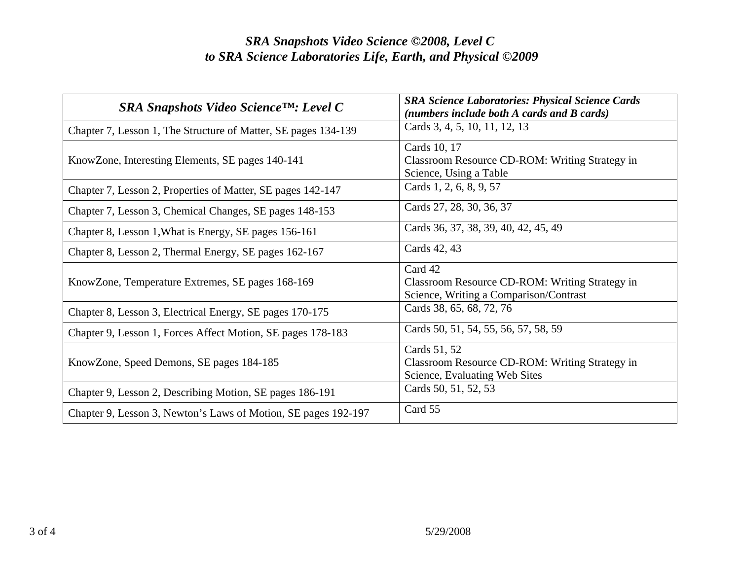| $SRA$ Snapshots Video Science <sup>TM</sup> : Level C          | <b>SRA Science Laboratories: Physical Science Cards</b><br>(numbers include both A cards and B cards) |
|----------------------------------------------------------------|-------------------------------------------------------------------------------------------------------|
| Chapter 7, Lesson 1, The Structure of Matter, SE pages 134-139 | Cards 3, 4, 5, 10, 11, 12, 13                                                                         |
| KnowZone, Interesting Elements, SE pages 140-141               | Cards 10, 17<br>Classroom Resource CD-ROM: Writing Strategy in<br>Science, Using a Table              |
| Chapter 7, Lesson 2, Properties of Matter, SE pages 142-147    | Cards 1, 2, 6, 8, 9, 57                                                                               |
| Chapter 7, Lesson 3, Chemical Changes, SE pages 148-153        | Cards 27, 28, 30, 36, 37                                                                              |
| Chapter 8, Lesson 1, What is Energy, SE pages 156-161          | Cards 36, 37, 38, 39, 40, 42, 45, 49                                                                  |
| Chapter 8, Lesson 2, Thermal Energy, SE pages 162-167          | Cards 42, 43                                                                                          |
| KnowZone, Temperature Extremes, SE pages 168-169               | Card 42<br>Classroom Resource CD-ROM: Writing Strategy in<br>Science, Writing a Comparison/Contrast   |
| Chapter 8, Lesson 3, Electrical Energy, SE pages 170-175       | Cards 38, 65, 68, 72, 76                                                                              |
| Chapter 9, Lesson 1, Forces Affect Motion, SE pages 178-183    | Cards 50, 51, 54, 55, 56, 57, 58, 59                                                                  |
| KnowZone, Speed Demons, SE pages 184-185                       | Cards 51, 52<br>Classroom Resource CD-ROM: Writing Strategy in<br>Science, Evaluating Web Sites       |
| Chapter 9, Lesson 2, Describing Motion, SE pages 186-191       | Cards 50, 51, 52, 53                                                                                  |
| Chapter 9, Lesson 3, Newton's Laws of Motion, SE pages 192-197 | Card 55                                                                                               |